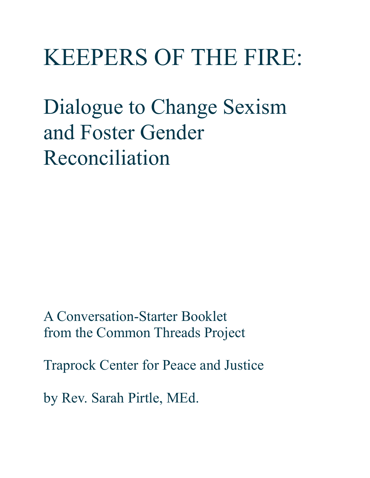# KEEPERS OF THE FIRE:

Dialogue to Change Sexism and Foster Gender Reconciliation

A Conversation-Starter Booklet from the Common Threads Project

Traprock Center for Peace and Justice

by Rev. Sarah Pirtle, MEd.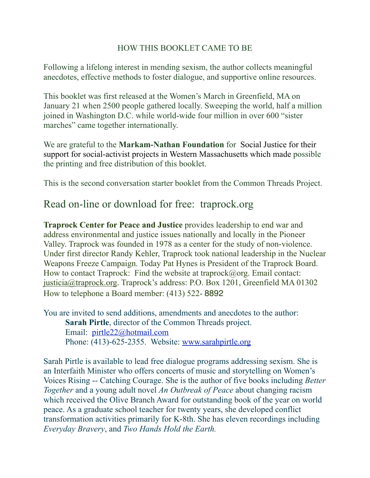### HOW THIS BOOKLET CAME TO BE

Following a lifelong interest in mending sexism, the author collects meaningful anecdotes, effective methods to foster dialogue, and supportive online resources.

This booklet was first released at the Women's March in Greenfield, MA on January 21 when 2500 people gathered locally. Sweeping the world, half a million joined in Washington D.C. while world-wide four million in over 600 "sister marches" came together internationally.

We are grateful to the **Markam-Nathan Foundation** for Social Justice for their support for social-activist projects in Western Massachusetts which made possible the printing and free distribution of this booklet.

This is the second conversation starter booklet from the Common Threads Project.

### Read on-line or download for free: traprock.org

**Traprock Center for Peace and Justice** provides leadership to end war and address environmental and justice issues nationally and locally in the Pioneer Valley. Traprock was founded in 1978 as a center for the study of non-violence. Under first director Randy Kehler, Traprock took national leadership in the Nuclear Weapons Freeze Campaign. Today Pat Hynes is President of the Traprock Board. How to contact Traprock: Find the website at traprock@org. Email contact: [justicia@traprock.org.](mailto:justicia@traprock.org) Traprock's address: P.O. Box 1201, Greenfield MA 01302 How to telephone a Board member: (413) 522- 8892

You are invited to send additions, amendments and anecdotes to the author: **Sarah Pirtle**, director of the Common Threads project. Email: [pirtle22@hotmail.com](mailto:pirtle22@hotmail.com) Phone: (413)-625-2355. Website: [www.sarahpirtle.org](http://www.sarahpirtle.org)

Sarah Pirtle is available to lead free dialogue programs addressing sexism. She is an Interfaith Minister who offers concerts of music and storytelling on Women's Voices Rising -- Catching Courage. She is the author of five books including *Better Together* and a young adult novel *An Outbreak of Peace* about changing racism which received the Olive Branch Award for outstanding book of the year on world peace. As a graduate school teacher for twenty years, she developed conflict transformation activities primarily for K-8th. She has eleven recordings including *Everyday Bravery*, and *Two Hands Hold the Earth.*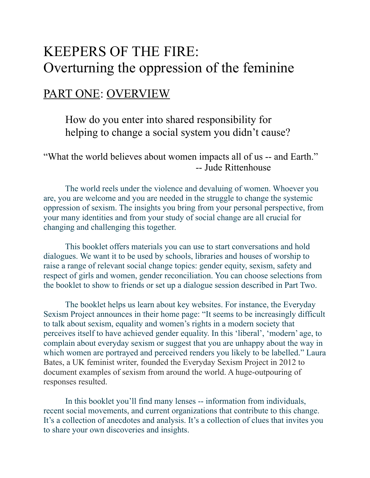# KEEPERS OF THE FIRE: Overturning the oppression of the feminine

### PART ONE: OVERVIEW

 How do you enter into shared responsibility for helping to change a social system you didn't cause?

"What the world believes about women impacts all of us -- and Earth." -- Jude Rittenhouse

 The world reels under the violence and devaluing of women. Whoever you are, you are welcome and you are needed in the struggle to change the systemic oppression of sexism. The insights you bring from your personal perspective, from your many identities and from your study of social change are all crucial for changing and challenging this together.

 This booklet offers materials you can use to start conversations and hold dialogues. We want it to be used by schools, libraries and houses of worship to raise a range of relevant social change topics: gender equity, sexism, safety and respect of girls and women, gender reconciliation. You can choose selections from the booklet to show to friends or set up a dialogue session described in Part Two.

 The booklet helps us learn about key websites. For instance, the Everyday Sexism Project announces in their home page: "It seems to be increasingly difficult to talk about sexism, equality and women's rights in a modern society that perceives itself to have achieved gender equality. In this 'liberal', 'modern' age, to complain about everyday sexism or suggest that you are unhappy about the way in which women are portrayed and perceived renders you likely to be labelled." Laura Bates, a UK feminist writer, founded the Everyday Sexism Project in 2012 to document examples of sexism from around the world. A huge-outpouring of responses resulted.

 In this booklet you'll find many lenses -- information from individuals, recent social movements, and current organizations that contribute to this change. It's a collection of anecdotes and analysis. It's a collection of clues that invites you to share your own discoveries and insights.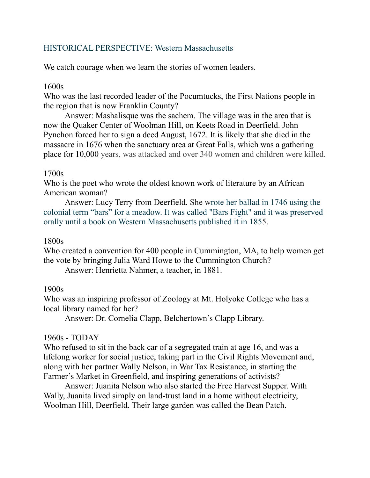### HISTORICAL PERSPECTIVE: Western Massachusetts

We catch courage when we learn the stories of women leaders.

#### 1600s

Who was the last recorded leader of the Pocumtucks, the First Nations people in the region that is now Franklin County?

 Answer: Mashalisque was the sachem. The village was in the area that is now the Quaker Center of Woolman Hill, on Keets Road in Deerfield. John Pynchon forced her to sign a deed August, 1672. It is likely that she died in the massacre in 1676 when the sanctuary area at Great Falls, which was a gathering place for 10,000 years, was attacked and over 340 women and children were killed.

#### 1700s

Who is the poet who wrote the oldest known work of literature by an African American woman?

 Answer: Lucy Terry from Deerfield. She wrote her ballad in 1746 using the colonial term "bars" for a meadow. It was called ["Bars Fight"](https://en.wikipedia.org/wiki/Bars_Fight) and it was preserved orally until a book on Western Massachusetts published it in 1855.

#### 1800s

Who created a convention for 400 people in Cummington, MA, to help women get the vote by bringing Julia Ward Howe to the Cummington Church?

Answer: Henrietta Nahmer, a teacher, in 1881.

#### 1900s

Who was an inspiring professor of Zoology at Mt. Holyoke College who has a local library named for her?

Answer: Dr. Cornelia Clapp, Belchertown's Clapp Library.

#### 1960s - TODAY

Who refused to sit in the back car of a segregated train at age 16, and was a lifelong worker for social justice, taking part in the Civil Rights Movement and, along with her partner Wally Nelson, in War Tax Resistance, in starting the Farmer's Market in Greenfield, and inspiring generations of activists?

 Answer: Juanita Nelson who also started the Free Harvest Supper. With Wally, Juanita lived simply on land-trust land in a home without electricity, Woolman Hill, Deerfield. Their large garden was called the Bean Patch.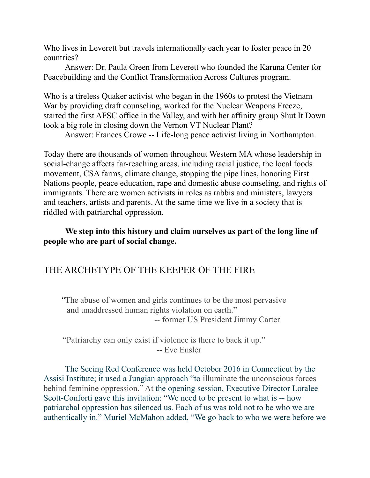Who lives in Leverett but travels internationally each year to foster peace in 20 countries?

 Answer: Dr. Paula Green from Leverett who founded the Karuna Center for Peacebuilding and the Conflict Transformation Across Cultures program.

Who is a tireless Quaker activist who began in the 1960s to protest the Vietnam War by providing draft counseling, worked for the Nuclear Weapons Freeze, started the first AFSC office in the Valley, and with her affinity group Shut It Down took a big role in closing down the Vernon VT Nuclear Plant?

Answer: Frances Crowe -- Life-long peace activist living in Northampton.

Today there are thousands of women throughout Western MA whose leadership in social-change affects far-reaching areas, including racial justice, the local foods movement, CSA farms, climate change, stopping the pipe lines, honoring First Nations people, peace education, rape and domestic abuse counseling, and rights of immigrants. There are women activists in roles as rabbis and ministers, lawyers and teachers, artists and parents. At the same time we live in a society that is riddled with patriarchal oppression.

### **We step into this history and claim ourselves as part of the long line of people who are part of social change.**

### THE ARCHETYPE OF THE KEEPER OF THE FIRE

 *"*The abuse of women and girls continues to be the most pervasive and unaddressed human rights violation on earth." -- former US President Jimmy Carter

 "Patriarchy can only exist if violence is there to back it up." -- Eve Ensler

 The Seeing Red Conference was held October 2016 in Connecticut by the Assisi Institute; it used a Jungian approach "to illuminate the unconscious forces behind feminine oppression." At the opening session, Executive Director Loralee Scott-Conforti gave this invitation: "We need to be present to what is -- how patriarchal oppression has silenced us. Each of us was told not to be who we are authentically in." Muriel McMahon added, "We go back to who we were before we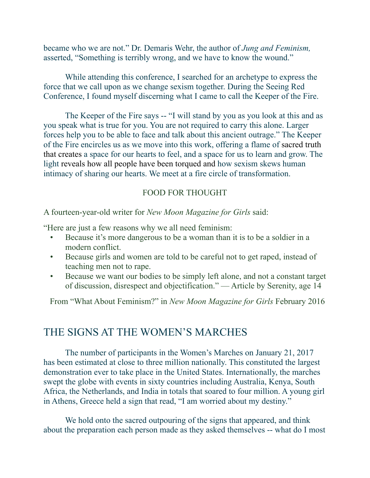became who we are not." Dr. Demaris Wehr, the author of *Jung and Feminism,* asserted, "Something is terribly wrong, and we have to know the wound."

 While attending this conference, I searched for an archetype to express the force that we call upon as we change sexism together. During the Seeing Red Conference, I found myself discerning what I came to call the Keeper of the Fire.

 The Keeper of the Fire says -- "I will stand by you as you look at this and as you speak what is true for you. You are not required to carry this alone. Larger forces help you to be able to face and talk about this ancient outrage." The Keeper of the Fire encircles us as we move into this work, offering a flame of sacred truth that creates a space for our hearts to feel, and a space for us to learn and grow. The light reveals how all people have been torqued and how sexism skews human intimacy of sharing our hearts. We meet at a fire circle of transformation.

#### FOOD FOR THOUGHT

A fourteen-year-old writer for *New Moon Magazine for Girls* said:

"Here are just a few reasons why we all need feminism:

- Because it's more dangerous to be a woman than it is to be a soldier in a modern conflict.
- Because girls and women are told to be careful not to get raped, instead of teaching men not to rape.
- Because we want our bodies to be simply left alone, and not a constant target of discussion, disrespect and objectification." — Article by Serenity, age 14

From "What About Feminism?" in *New Moon Magazine for Girls* February 2016

### THE SIGNS AT THE WOMEN'S MARCHES

The number of participants in the Women's Marches on January 21, 2017 has been estimated at close to three million nationally. This constituted the largest demonstration ever to take place in the United States. Internationally, the marches swept the globe with events in sixty countries including Australia, Kenya, South Africa, the Netherlands, and India in totals that soared to four million. A young girl in Athens, Greece held a sign that read, "I am worried about my destiny."

 We hold onto the sacred outpouring of the signs that appeared, and think about the preparation each person made as they asked themselves -- what do I most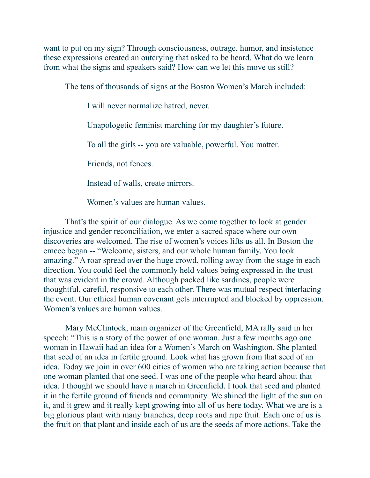want to put on my sign? Through consciousness, outrage, humor, and insistence these expressions created an outcrying that asked to be heard. What do we learn from what the signs and speakers said? How can we let this move us still?

The tens of thousands of signs at the Boston Women's March included:

I will never normalize hatred, never.

Unapologetic feminist marching for my daughter's future.

To all the girls -- you are valuable, powerful. You matter.

Friends, not fences.

Instead of walls, create mirrors.

Women's values are human values.

 That's the spirit of our dialogue. As we come together to look at gender injustice and gender reconciliation, we enter a sacred space where our own discoveries are welcomed. The rise of women's voices lifts us all. In Boston the emcee began -- "Welcome, sisters, and our whole human family. You look amazing." A roar spread over the huge crowd, rolling away from the stage in each direction. You could feel the commonly held values being expressed in the trust that was evident in the crowd. Although packed like sardines, people were thoughtful, careful, responsive to each other. There was mutual respect interlacing the event. Our ethical human covenant gets interrupted and blocked by oppression. Women's values are human values.

 Mary McClintock, main organizer of the Greenfield, MA rally said in her speech: "This is a story of the power of one woman. Just a few months ago one woman in Hawaii had an idea for a Women's March on Washington. She planted that seed of an idea in fertile ground. Look what has grown from that seed of an idea. Today we join in over 600 cities of women who are taking action because that one woman planted that one seed. I was one of the people who heard about that idea. I thought we should have a march in Greenfield. I took that seed and planted it in the fertile ground of friends and community. We shined the light of the sun on it, and it grew and it really kept growing into all of us here today. What we are is a big glorious plant with many branches, deep roots and ripe fruit. Each one of us is the fruit on that plant and inside each of us are the seeds of more actions. Take the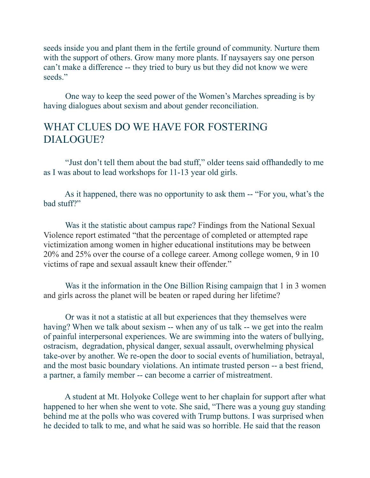seeds inside you and plant them in the fertile ground of community. Nurture them with the support of others. Grow many more plants. If naysayers say one person can't make a difference -- they tried to bury us but they did not know we were seeds."

 One way to keep the seed power of the Women's Marches spreading is by having dialogues about sexism and about gender reconciliation.

### WHAT CLUES DO WE HAVE FOR FOSTERING DIALOGUE?

 "Just don't tell them about the bad stuff," older teens said offhandedly to me as I was about to lead workshops for 11-13 year old girls.

 As it happened, there was no opportunity to ask them -- "For you, what's the bad stuff?"

 Was it the statistic about campus rape? Findings from the National Sexual Violence report estimated "that the percentage of completed or attempted rape victimization among women in higher educational institutions may be between 20% and 25% over the course of a college career. Among college women, 9 in 10 victims of rape and sexual assault knew their offender."

 Was it the information in the One Billion Rising campaign that 1 in 3 women and girls across the planet will be beaten or raped during her lifetime?

 Or was it not a statistic at all but experiences that they themselves were having? When we talk about sexism -- when any of us talk -- we get into the realm of painful interpersonal experiences. We are swimming into the waters of bullying, ostracism, degradation, physical danger, sexual assault, overwhelming physical take-over by another. We re-open the door to social events of humiliation, betrayal, and the most basic boundary violations. An intimate trusted person -- a best friend, a partner, a family member -- can become a carrier of mistreatment.

 A student at Mt. Holyoke College went to her chaplain for support after what happened to her when she went to vote. She said, "There was a young guy standing behind me at the polls who was covered with Trump buttons. I was surprised when he decided to talk to me, and what he said was so horrible. He said that the reason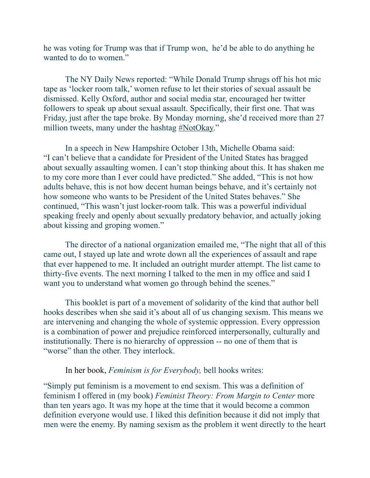he was voting for Trump was that if Trump won, he'd be able to do anything he wanted to do to women."

 The NY Daily News reported: "While Donald Trump shrugs off his hot mic tape as 'locker room talk,' women refuse to let their stories of sexual assault be dismissed. Kelly Oxford, author and social media star, encouraged her twitter followers to speak up about sexual assault. Specifically, their first one. That was Friday, just after the tape broke. By Monday morning, she'd received more than 27 million tweets, many under the hashtag [#NotOkay.](https://twitter.com/hashtag/notokay?f=tweets&vertical=news&src=hash)"

 In a speech in New Hampshire October 13th, Michelle Obama said: "I can't believe that a candidate for President of the United States has bragged about sexually assaulting women. I can't stop thinking about this. It has shaken me to my core more than I ever could have predicted." She added, "This is not how adults behave, this is not how decent human beings behave, and it's certainly not how someone who wants to be President of the United States behaves." She continued, "This wasn't just locker-room talk. This was a powerful individual speaking freely and openly about sexually predatory behavior, and actually joking about kissing and groping women."

 The director of a national organization emailed me, "The night that all of this came out, I stayed up late and wrote down all the experiences of assault and rape that ever happened to me. It included an outright murder attempt. The list came to thirty-five events. The next morning I talked to the men in my office and said I want you to understand what women go through behind the scenes."

 This booklet is part of a movement of solidarity of the kind that author bell hooks describes when she said it's about all of us changing sexism. This means we are intervening and changing the whole of systemic oppression. Every oppression is a combination of power and prejudice reinforced interpersonally, culturally and institutionally. There is no hierarchy of oppression -- no one of them that is "worse" than the other. They interlock.

In her book, *Feminism is for Everybody,* bell hooks writes:

"Simply put feminism is a movement to end sexism. This was a definition of feminism I offered in (my book) *Feminist Theory: From Margin to Center* more than ten years ago. It was my hope at the time that it would become a common definition everyone would use. I liked this definition because it did not imply that men were the enemy. By naming sexism as the problem it went directly to the heart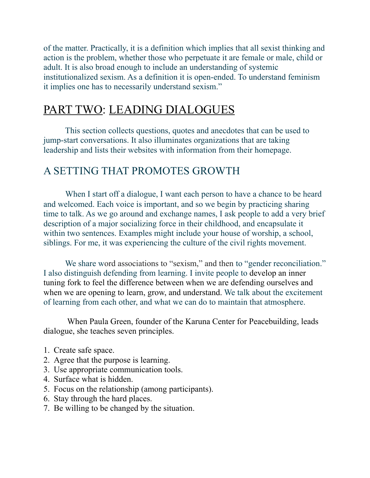of the matter. Practically, it is a definition which implies that all sexist thinking and action is the problem, whether those who perpetuate it are female or male, child or adult. It is also broad enough to include an understanding of systemic institutionalized sexism. As a definition it is open-ended. To understand feminism it implies one has to necessarily understand sexism."

# PART TWO: LEADING DIALOGUES

 This section collects questions, quotes and anecdotes that can be used to jump-start conversations. It also illuminates organizations that are taking leadership and lists their websites with information from their homepage.

### A SETTING THAT PROMOTES GROWTH

When I start off a dialogue, I want each person to have a chance to be heard and welcomed. Each voice is important, and so we begin by practicing sharing time to talk. As we go around and exchange names, I ask people to add a very brief description of a major socializing force in their childhood, and encapsulate it within two sentences. Examples might include your house of worship, a school, siblings. For me, it was experiencing the culture of the civil rights movement.

We share word associations to "sexism," and then to "gender reconciliation." I also distinguish defending from learning. I invite people to develop an inner tuning fork to feel the difference between when we are defending ourselves and when we are opening to learn, grow, and understand. We talk about the excitement of learning from each other, and what we can do to maintain that atmosphere.

 When Paula Green, founder of the Karuna Center for Peacebuilding, leads dialogue, she teaches seven principles.

- 1. Create safe space.
- 2. Agree that the purpose is learning.
- 3. Use appropriate communication tools.
- 4. Surface what is hidden.
- 5. Focus on the relationship (among participants).
- 6. Stay through the hard places.
- 7. Be willing to be changed by the situation.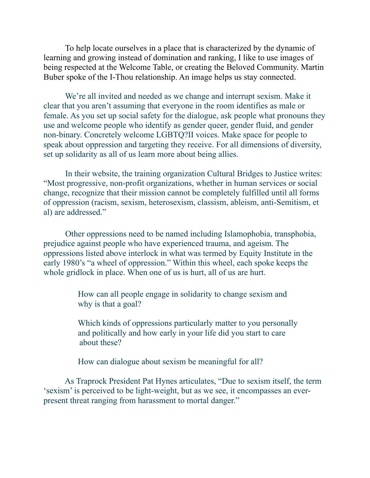To help locate ourselves in a place that is characterized by the dynamic of learning and growing instead of domination and ranking, I like to use images of being respected at the Welcome Table, or creating the Beloved Community. Martin Buber spoke of the I-Thou relationship. An image helps us stay connected.

 We're all invited and needed as we change and interrupt sexism. Make it clear that you aren't assuming that everyone in the room identifies as male or female. As you set up social safety for the dialogue, ask people what pronouns they use and welcome people who identify as gender queer, gender fluid, and gender non-binary. Concretely welcome LGBTQ?II voices. Make space for people to speak about oppression and targeting they receive. For all dimensions of diversity, set up solidarity as all of us learn more about being allies.

 In their website, the training organization Cultural Bridges to Justice writes: "Most progressive, non-profit organizations, whether in human services or social change, recognize that their mission cannot be completely fulfilled until all forms of oppression (racism, sexism, heterosexism, classism, ableism, anti-Semitism, et al) are addressed."

 Other oppressions need to be named including Islamophobia, transphobia, prejudice against people who have experienced trauma, and ageism. The oppressions listed above interlock in what was termed by Equity Institute in the early 1980's "a wheel of oppression." Within this wheel, each spoke keeps the whole gridlock in place. When one of us is hurt, all of us are hurt.

> How can all people engage in solidarity to change sexism and why is that a goal?

 Which kinds of oppressions particularly matter to you personally and politically and how early in your life did you start to care about these?

How can dialogue about sexism be meaningful for all?

 As Traprock President Pat Hynes articulates, "Due to sexism itself, the term 'sexism' is perceived to be light-weight, but as we see, it encompasses an everpresent threat ranging from harassment to mortal danger."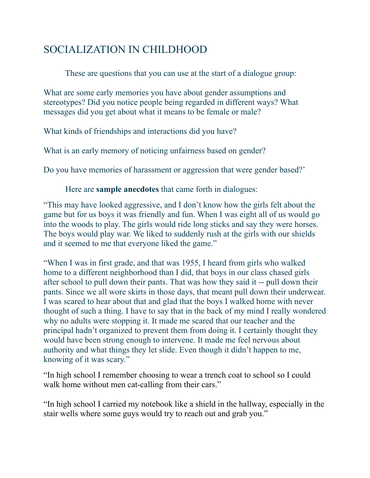### SOCIALIZATION IN CHILDHOOD

These are questions that you can use at the start of a dialogue group:

What are some early memories you have about gender assumptions and stereotypes? Did you notice people being regarded in different ways? What messages did you get about what it means to be female or male?

What kinds of friendships and interactions did you have?

What is an early memory of noticing unfairness based on gender?

Do you have memories of harassment or aggression that were gender based?'

### Here are **sample anecdotes** that came forth in dialogues:

"This may have looked aggressive, and I don't know how the girls felt about the game but for us boys it was friendly and fun. When I was eight all of us would go into the woods to play. The girls would ride long sticks and say they were horses. The boys would play war. We liked to suddenly rush at the girls with our shields and it seemed to me that everyone liked the game."

"When I was in first grade, and that was 1955, I heard from girls who walked home to a different neighborhood than I did, that boys in our class chased girls after school to pull down their pants. That was how they said it -- pull down their pants. Since we all wore skirts in those days, that meant pull down their underwear. I was scared to hear about that and glad that the boys I walked home with never thought of such a thing. I have to say that in the back of my mind I really wondered why no adults were stopping it. It made me scared that our teacher and the principal hadn't organized to prevent them from doing it. I certainly thought they would have been strong enough to intervene. It made me feel nervous about authority and what things they let slide. Even though it didn't happen to me, knowing of it was scary."

"In high school I remember choosing to wear a trench coat to school so I could walk home without men cat-calling from their cars."

"In high school I carried my notebook like a shield in the hallway, especially in the stair wells where some guys would try to reach out and grab you."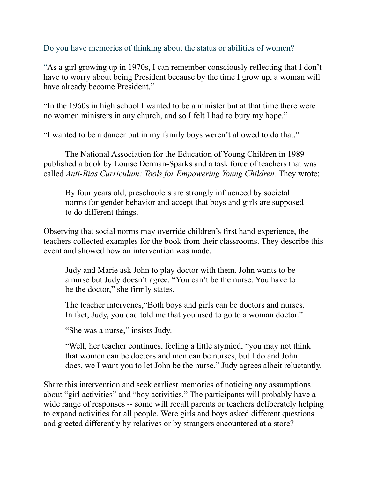### Do you have memories of thinking about the status or abilities of women?

"As a girl growing up in 1970s, I can remember consciously reflecting that I don't have to worry about being President because by the time I grow up, a woman will have already become President."

"In the 1960s in high school I wanted to be a minister but at that time there were no women ministers in any church, and so I felt I had to bury my hope."

"I wanted to be a dancer but in my family boys weren't allowed to do that."

 The National Association for the Education of Young Children in 1989 published a book by Louise Derman-Sparks and a task force of teachers that was called *Anti-Bias Curriculum: Tools for Empowering Young Children.* They wrote:

 By four years old, preschoolers are strongly influenced by societal norms for gender behavior and accept that boys and girls are supposed to do different things.

Observing that social norms may override children's first hand experience, the teachers collected examples for the book from their classrooms. They describe this event and showed how an intervention was made.

 Judy and Marie ask John to play doctor with them. John wants to be a nurse but Judy doesn't agree. "You can't be the nurse. You have to be the doctor," she firmly states.

 The teacher intervenes,"Both boys and girls can be doctors and nurses. In fact, Judy, you dad told me that you used to go to a woman doctor."

"She was a nurse," insists Judy.

 "Well, her teacher continues, feeling a little stymied, "you may not think that women can be doctors and men can be nurses, but I do and John does, we I want you to let John be the nurse." Judy agrees albeit reluctantly.

Share this intervention and seek earliest memories of noticing any assumptions about "girl activities" and "boy activities." The participants will probably have a wide range of responses -- some will recall parents or teachers deliberately helping to expand activities for all people. Were girls and boys asked different questions and greeted differently by relatives or by strangers encountered at a store?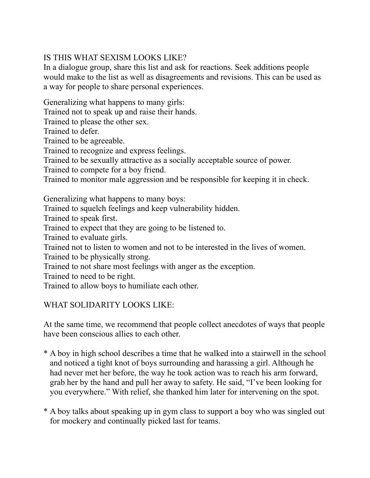### IS THIS WHAT SEXISM LOOKS LIKE?

In a dialogue group, share this list and ask for reactions. Seek additions people would make to the list as well as disagreements and revisions. This can be used as a way for people to share personal experiences.

Generalizing what happens to many girls:

Trained not to speak up and raise their hands.

Trained to please the other sex.

Trained to defer.

Trained to be agreeable.

Trained to recognize and express feelings.

Trained to be sexually attractive as a socially acceptable source of power.

Trained to compete for a boy friend.

Trained to monitor male aggression and be responsible for keeping it in check.

Generalizing what happens to many boys:

Trained to squelch feelings and keep vulnerability hidden.

Trained to speak first.

Trained to expect that they are going to be listened to.

Trained to evaluate girls.

Trained not to listen to women and not to be interested in the lives of women.

Trained to be physically strong.

Trained to not share most feelings with anger as the exception.

Trained to need to be right.

Trained to allow boys to humiliate each other.

### WHAT SOLIDARITY LOOKS LIKE:

At the same time, we recommend that people collect anecdotes of ways that people have been conscious allies to each other.

- \* A boy in high school describes a time that he walked into a stairwell in the school and noticed a tight knot of boys surrounding and harassing a girl. Although he had never met her before, the way he took action was to reach his arm forward, grab her by the hand and pull her away to safety. He said, "I've been looking for you everywhere." With relief, she thanked him later for intervening on the spot.
- \* A boy talks about speaking up in gym class to support a boy who was singled out for mockery and continually picked last for teams.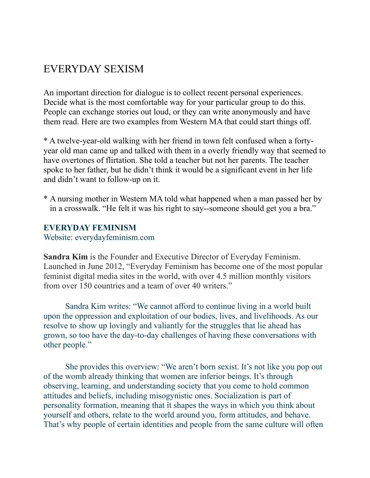### EVERYDAY SEXISM

An important direction for dialogue is to collect recent personal experiences. Decide what is the most comfortable way for your particular group to do this. People can exchange stories out loud, or they can write anonymously and have them read. Here are two examples from Western MA that could start things off.

\* A twelve-year-old walking with her friend in town felt confused when a fortyyear old man came up and talked with them in a overly friendly way that seemed to have overtones of flirtation. She told a teacher but not her parents. The teacher spoke to her father, but he didn't think it would be a significant event in her life and didn't want to follow-up on it.

\* A nursing mother in Western MA told what happened when a man passed her by in a crosswalk. "He felt it was his right to say--someone should get you a bra."

#### **EVERYDAY FEMINISM**

Website: everydayfeminism.com

**Sandra Kim** is the Founder and Executive Director of Everyday Feminism. Launched in June 2012, "Everyday Feminism has become one of the most popular feminist digital media sites in the world, with over 4.5 million monthly visitors from over 150 countries and a team of over 40 writers."

 Sandra Kim writes: "We cannot afford to continue living in a world built upon the oppression and exploitation of our bodies, lives, and livelihoods. As our resolve to show up lovingly and valiantly for the struggles that lie ahead has grown, so too have the day-to-day challenges of having these conversations with other people."

 She provides this overview: "We aren't born sexist. It's not like you pop out of the womb already thinking that women are inferior beings. It's through observing, learning, and understanding society that you come to hold common attitudes and beliefs, including misogynistic ones. Socialization is part of personality formation, meaning that it shapes the ways in which you think about yourself and others, relate to the world around you, form attitudes, and behave. That's why people of certain identities and people from the same culture will often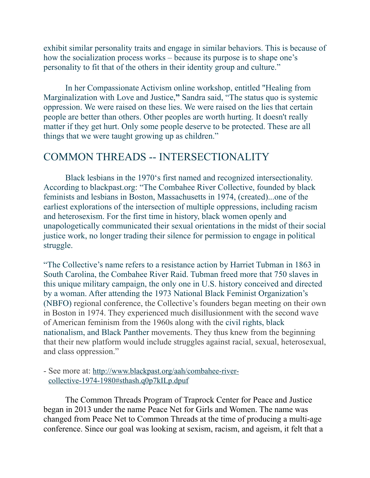exhibit similar personality traits and engage in similar behaviors. This is because of how the socialization process works – because its purpose is to shape one's personality to fit that of the others in their identity group and culture."

 In her Compassionate Activism online workshop, entitled "Healing from Marginalization with Love and Justice,**"** Sandra said, "The status quo is systemic oppression. We were raised on these lies. We were raised on the lies that certain people are better than others. Other peoples are worth hurting. It doesn't really matter if they get hurt. Only some people deserve to be protected. These are all things that we were taught growing up as children."

### COMMON THREADS -- INTERSECTIONALITY

 Black lesbians in the 1970's first named and recognized intersectionality. According to blackpast.org: "The Combahee River Collective, founded by black feminists and lesbians in Boston, Massachusetts in 1974, (created)...one of the earliest explorations of the intersection of multiple oppressions, including racism and heterosexism. For the first time in history, black women openly and unapologetically communicated their sexual orientations in the midst of their social justice work, no longer trading their silence for permission to engage in political struggle.

"The Collective's name refers to a resistance action by [Harriet Tubman](http://www.blackpast.org/aah/tubman-harriet-ross-c-1821-1913) in 1863 in [South Carolina](http://www.blackpast.org/entries-categories/south-carolina), the [Combahee River Raid](http://www.blackpast.org/aah/combahee-river-raid-june-2-1863). Tubman freed more that 750 slaves in this unique military campaign, the only one in U.S. history conceived and directed by a woman. After attending the 1973 [National Black Feminist Organization's](http://www.blackpast.org/aah/national-black-feminist-organization-1973-1976)  [\(NBFO\)](http://www.blackpast.org/aah/national-black-feminist-organization-1973-1976) regional conference, the Collective's founders began meeting on their own in Boston in 1974. They experienced much disillusionment with the second wave of American feminism from the 1960s along with the [civil rights,](http://www.blackpast.org/entries-categories/civil-rights) [black](http://www.blackpast.org/entries-categories/black-nationalists)  [nationalism](http://www.blackpast.org/entries-categories/black-nationalists), and [Black Panther](http://www.blackpast.org/aah/black-panther-party) movements. They thus knew from the beginning that their new platform would include struggles against racial, sexual, heterosexual, and class oppression."

- See more at: [http://www.blackpast.org/aah/combahee-river](http://www.blackpast.org/aah/combahee-river-collective-1974-1980#sthash.q0p7kILp.dpuf)[collective-1974-1980#sthash.q0p7kILp.dpuf](http://www.blackpast.org/aah/combahee-river-collective-1974-1980#sthash.q0p7kILp.dpuf)

The Common Threads Program of Traprock Center for Peace and Justice began in 2013 under the name Peace Net for Girls and Women. The name was changed from Peace Net to Common Threads at the time of producing a multi-age conference. Since our goal was looking at sexism, racism, and ageism, it felt that a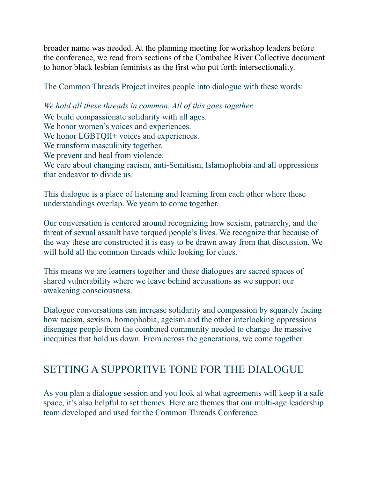broader name was needed. At the planning meeting for workshop leaders before the conference, we read from sections of the Combahee River Collective document to honor black lesbian feminists as the first who put forth intersectionality.

The Common Threads Project invites people into dialogue with these words:

*We hold all these threads in common. All of this goes together.* We build compassionate solidarity with all ages. We honor women's voices and experiences. We honor LGBTQII+ voices and experiences. We transform masculinity together. We prevent and heal from violence. We care about changing racism, anti-Semitism, Islamophobia and all oppressions that endeavor to divide us.

This dialogue is a place of listening and learning from each other where these understandings overlap. We yearn to come together.

Our conversation is centered around recognizing how sexism, patriarchy, and the threat of sexual assault have torqued people's lives. We recognize that because of the way these are constructed it is easy to be drawn away from that discussion. We will hold all the common threads while looking for clues.

This means we are learners together and these dialogues are sacred spaces of shared vulnerability where we leave behind accusations as we support our awakening consciousness.

Dialogue conversations can increase solidarity and compassion by squarely facing how racism, sexism, homophobia, ageism and the other interlocking oppressions disengage people from the combined community needed to change the massive inequities that hold us down. From across the generations, we come together.

### SETTING A SUPPORTIVE TONE FOR THE DIALOGUE

As you plan a dialogue session and you look at what agreements will keep it a safe space, it's also helpful to set themes. Here are themes that our multi-age leadership team developed and used for the Common Threads Conference.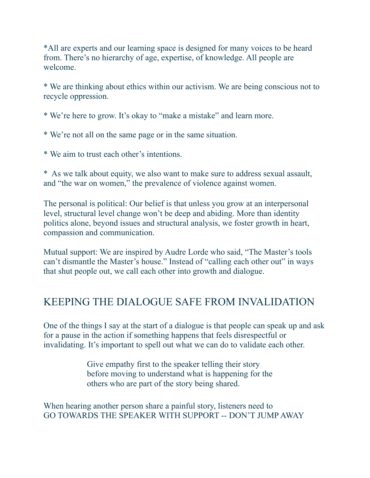\*All are experts and our learning space is designed for many voices to be heard from. There's no hierarchy of age, expertise, of knowledge. All people are welcome.

\* We are thinking about ethics within our activism. We are being conscious not to recycle oppression.

\* We're here to grow. It's okay to "make a mistake" and learn more.

\* We're not all on the same page or in the same situation.

\* We aim to trust each other's intentions.

\* As we talk about equity, we also want to make sure to address sexual assault, and "the war on women," the prevalence of violence against women.

The personal is political: Our belief is that unless you grow at an interpersonal level, structural level change won't be deep and abiding. More than identity politics alone, beyond issues and structural analysis, we foster growth in heart, compassion and communication.

Mutual support: We are inspired by Audre Lorde who said, "The Master's tools can't dismantle the Master's house." Instead of "calling each other out" in ways that shut people out, we call each other into growth and dialogue.

### KEEPING THE DIALOGUE SAFE FROM INVALIDATION

One of the things I say at the start of a dialogue is that people can speak up and ask for a pause in the action if something happens that feels disrespectful or invalidating. It's important to spell out what we can do to validate each other.

> Give empathy first to the speaker telling their story before moving to understand what is happening for the others who are part of the story being shared.

When hearing another person share a painful story, listeners need to GO TOWARDS THE SPEAKER WITH SUPPORT -- DON'T JUMP AWAY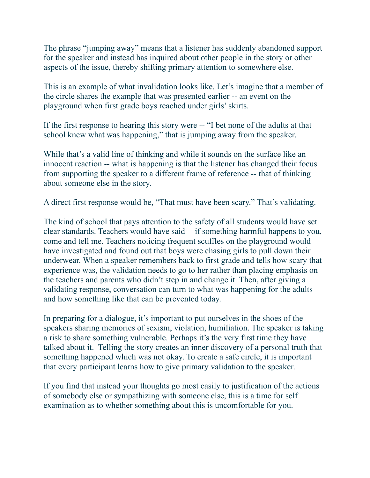The phrase "jumping away" means that a listener has suddenly abandoned support for the speaker and instead has inquired about other people in the story or other aspects of the issue, thereby shifting primary attention to somewhere else.

This is an example of what invalidation looks like. Let's imagine that a member of the circle shares the example that was presented earlier -- an event on the playground when first grade boys reached under girls' skirts.

If the first response to hearing this story were -- "I bet none of the adults at that school knew what was happening," that is jumping away from the speaker.

While that's a valid line of thinking and while it sounds on the surface like an innocent reaction -- what is happening is that the listener has changed their focus from supporting the speaker to a different frame of reference -- that of thinking about someone else in the story.

A direct first response would be, "That must have been scary." That's validating.

The kind of school that pays attention to the safety of all students would have set clear standards. Teachers would have said -- if something harmful happens to you, come and tell me. Teachers noticing frequent scuffles on the playground would have investigated and found out that boys were chasing girls to pull down their underwear. When a speaker remembers back to first grade and tells how scary that experience was, the validation needs to go to her rather than placing emphasis on the teachers and parents who didn't step in and change it. Then, after giving a validating response, conversation can turn to what was happening for the adults and how something like that can be prevented today.

In preparing for a dialogue, it's important to put ourselves in the shoes of the speakers sharing memories of sexism, violation, humiliation. The speaker is taking a risk to share something vulnerable. Perhaps it's the very first time they have talked about it. Telling the story creates an inner discovery of a personal truth that something happened which was not okay. To create a safe circle, it is important that every participant learns how to give primary validation to the speaker.

If you find that instead your thoughts go most easily to justification of the actions of somebody else or sympathizing with someone else, this is a time for self examination as to whether something about this is uncomfortable for you.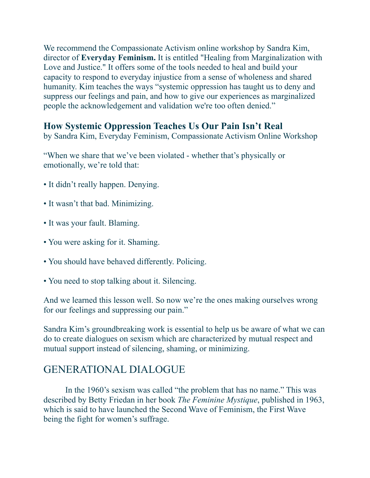We recommend the Compassionate Activism online workshop by Sandra Kim, director of **Everyday Feminism.** It is entitled "Healing from Marginalization with Love and Justice." It offers some of the tools needed to heal and build your capacity to respond to everyday injustice from a sense of wholeness and shared humanity. Kim teaches the ways "systemic oppression has taught us to deny and suppress our feelings and pain, and how to give our experiences as marginalized people the acknowledgement and validation we're too often denied."

### **How Systemic Oppression Teaches Us Our Pain Isn't Real**

by Sandra Kim, Everyday Feminism, Compassionate Activism Online Workshop

"When we share that we've been violated - whether that's physically or emotionally, we're told that:

- It didn't really happen. Denying.
- It wasn't that bad. Minimizing.
- It was your fault. Blaming.
- You were asking for it. Shaming.
- You should have behaved differently. Policing.
- You need to stop talking about it. Silencing.

And we learned this lesson well. So now we're the ones making ourselves wrong for our feelings and suppressing our pain."

Sandra Kim's groundbreaking work is essential to help us be aware of what we can do to create dialogues on sexism which are characterized by mutual respect and mutual support instead of silencing, shaming, or minimizing.

### GENERATIONAL DIALOGUE

 In the 1960's sexism was called "the problem that has no name." This was described by Betty Friedan in her book *The Feminine Mystique*, published in 1963, which is said to have launched the Second Wave of Feminism, the First Wave being the fight for women's suffrage.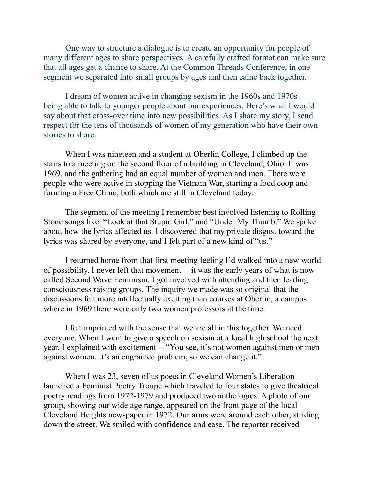One way to structure a dialogue is to create an opportunity for people of many different ages to share perspectives. A carefully crafted format can make sure that all ages get a chance to share. At the Common Threads Conference, in one segment we separated into small groups by ages and then came back together.

 I dream of women active in changing sexism in the 1960s and 1970s being able to talk to younger people about our experiences. Here's what I would say about that cross-over time into new possibilities. As I share my story, I send respect for the tens of thousands of women of my generation who have their own stories to share.

 When I was nineteen and a student at Oberlin College, I climbed up the stairs to a meeting on the second floor of a building in Cleveland, Ohio. It was 1969, and the gathering had an equal number of women and men. There were people who were active in stopping the Vietnam War, starting a food coop and forming a Free Clinic, both which are still in Cleveland today.

 The segment of the meeting I remember best involved listening to Rolling Stone songs like, "Look at that Stupid Girl," and "Under My Thumb." We spoke about how the lyrics affected us. I discovered that my private disgust toward the lyrics was shared by everyone, and I felt part of a new kind of "us."

 I returned home from that first meeting feeling I'd walked into a new world of possibility. I never left that movement -- it was the early years of what is now called Second Wave Feminism. I got involved with attending and then leading consciousness raising groups. The inquiry we made was so original that the discussions felt more intellectually exciting than courses at Oberlin, a campus where in 1969 there were only two women professors at the time.

 I felt imprinted with the sense that we are all in this together. We need everyone. When I went to give a speech on sexism at a local high school the next year, I explained with excitement -- "You see, it's not women against men or men against women. It's an engrained problem, so we can change it."

When I was 23, seven of us poets in Cleveland Women's Liberation launched a Feminist Poetry Troupe which traveled to four states to give theatrical poetry readings from 1972-1979 and produced two anthologies. A photo of our group, showing our wide age range, appeared on the front page of the local Cleveland Heights newspaper in 1972. Our arms were around each other, striding down the street. We smiled with confidence and ease. The reporter received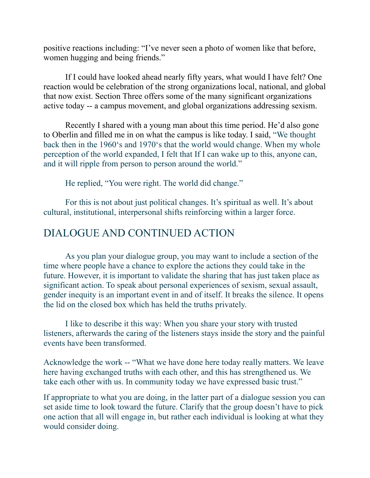positive reactions including: "I've never seen a photo of women like that before, women hugging and being friends."

 If I could have looked ahead nearly fifty years, what would I have felt? One reaction would be celebration of the strong organizations local, national, and global that now exist. Section Three offers some of the many significant organizations active today -- a campus movement, and global organizations addressing sexism.

 Recently I shared with a young man about this time period. He'd also gone to Oberlin and filled me in on what the campus is like today. I said, "We thought back then in the 1960's and 1970's that the world would change. When my whole perception of the world expanded, I felt that If I can wake up to this, anyone can, and it will ripple from person to person around the world."

He replied, "You were right. The world did change."

 For this is not about just political changes. It's spiritual as well. It's about cultural, institutional, interpersonal shifts reinforcing within a larger force.

### DIALOGUE AND CONTINUED ACTION

As you plan your dialogue group, you may want to include a section of the time where people have a chance to explore the actions they could take in the future. However, it is important to validate the sharing that has just taken place as significant action. To speak about personal experiences of sexism, sexual assault, gender inequity is an important event in and of itself. It breaks the silence. It opens the lid on the closed box which has held the truths privately.

 I like to describe it this way: When you share your story with trusted listeners, afterwards the caring of the listeners stays inside the story and the painful events have been transformed.

Acknowledge the work -- "What we have done here today really matters. We leave here having exchanged truths with each other, and this has strengthened us. We take each other with us. In community today we have expressed basic trust."

If appropriate to what you are doing, in the latter part of a dialogue session you can set aside time to look toward the future. Clarify that the group doesn't have to pick one action that all will engage in, but rather each individual is looking at what they would consider doing.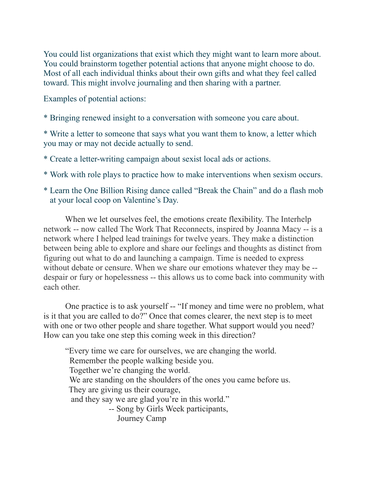You could list organizations that exist which they might want to learn more about. You could brainstorm together potential actions that anyone might choose to do. Most of all each individual thinks about their own gifts and what they feel called toward. This might involve journaling and then sharing with a partner.

Examples of potential actions:

\* Bringing renewed insight to a conversation with someone you care about.

\* Write a letter to someone that says what you want them to know, a letter which you may or may not decide actually to send.

\* Create a letter-writing campaign about sexist local ads or actions.

\* Work with role plays to practice how to make interventions when sexism occurs.

\* Learn the One Billion Rising dance called "Break the Chain" and do a flash mob at your local coop on Valentine's Day.

When we let ourselves feel, the emotions create flexibility. The Interhelp network -- now called The Work That Reconnects, inspired by Joanna Macy -- is a network where I helped lead trainings for twelve years. They make a distinction between being able to explore and share our feelings and thoughts as distinct from figuring out what to do and launching a campaign. Time is needed to express without debate or censure. When we share our emotions whatever they may be - despair or fury or hopelessness -- this allows us to come back into community with each other.

 One practice is to ask yourself -- "If money and time were no problem, what is it that you are called to do?" Once that comes clearer, the next step is to meet with one or two other people and share together. What support would you need? How can you take one step this coming week in this direction?

 "Every time we care for ourselves, we are changing the world. Remember the people walking beside you. Together we're changing the world. We are standing on the shoulders of the ones you came before us. They are giving us their courage, and they say we are glad you're in this world." -- Song by Girls Week participants, Journey Camp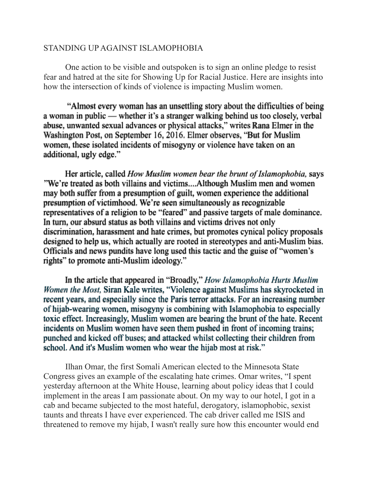#### STANDING UP AGAINST ISLAMOPHOBIA

 One action to be visible and outspoken is to sign an online pledge to resist fear and hatred at the site for Showing Up for Racial Justice. Here are insights into how the intersection of kinds of violence is impacting Muslim women.

 "Almost every woman has an unsettling story about the difficulties of being a woman in public — whether it's a stranger walking behind us too closely, verbal abuse, unwanted sexual advances or physical attacks," writes Rana Elmer in the Washington Post, on September 16, 2016. Elmer observes, "But for Muslim women, these isolated incidents of misogyny or violence have taken on an additional, ugly edge."

 Her article, called *How Muslim women bear the brunt of Islamophobia,* says "We're treated as both villains and victims....Although Muslim men and women may both suffer from a presumption of guilt, women experience the additional presumption of victimhood. We're seen simultaneously as recognizable representatives of a religion to be "feared" and passive targets of male dominance. In turn, our absurd status as both villains and victims drives not only discrimination, harassment and hate crimes, but promotes cynical policy proposals designed to help us, which actually are rooted in stereotypes and anti-Muslim bias. Officials and news pundits have long used this tactic and the guise of "women's rights" to promote anti-Muslim ideology."

 In the article that appeared in "Broadly," *How Islamophobia Hurts Muslim Women the Most,* Siran Kale writes, "Violence against Muslims has skyrocketed in recent years, and especially since the Paris terror attacks. For an increasing number of hijab-wearing women, misogyny is combining with Islamophobia to especially toxic effect. Increasingly, Muslim women are bearing the brunt of the hate. Recent incidents on Muslim women have seen them [pushed in front of incoming trains](http://www.dailymail.co.uk/news/article-3316787/Shocking-moment-man-push-Muslim-woman-wearing-hijab-oncoming-train-London-s-underground.html); [punched and kicked off buses](http://www.mirror.co.uk/news/uk-news/woman-punched-head-kicked-bus-6758026); and attacked whilst [collecting their children from](https://news.vice.com/article/police-say-muslim-woman-attacked-called-a-terrorist-while-picking-her-kids-up-from-school-in-canada)  [school.](https://news.vice.com/article/police-say-muslim-woman-attacked-called-a-terrorist-while-picking-her-kids-up-from-school-in-canada) And it's Muslim women who wear the hijab most at risk."

Ilhan Omar, the first Somali American elected to the Minnesota State Congress gives an example of the escalating hate crimes. Omar writes, "I spent yesterday afternoon at the White House, learning about policy ideas that I could implement in the areas I am passionate about. On my way to our hotel, I got in a cab and became subjected to the most hateful, derogatory, islamophobic, sexist taunts and threats I have ever experienced. The cab driver called me ISIS and threatened to remove my hijab, I wasn't really sure how this encounter would end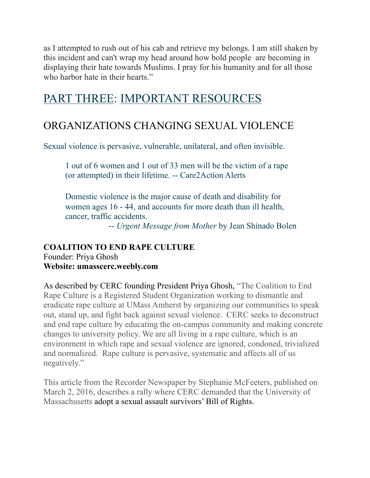as I attempted to rush out of his cab and retrieve my belongs. I am still shaken by this incident and can't wrap my head around how bold people are becoming in displaying their hate towards Muslims. I pray for his humanity and for all those who harbor hate in their hearts."

# PART THREE: IMPORTANT RESOURCES

### ORGANIZATIONS CHANGING SEXUAL VIOLENCE

Sexual violence is pervasive, vulnerable, unilateral, and often invisible.

 1 out of 6 women and 1 out of 33 men will be the victim of a rape (or attempted) in their lifetime. -- Care2Action Alerts

Domestic violence is the major cause of death and disability for women ages 16 - 44, and accounts for more death than ill health, cancer, traffic accidents.

-- *Urgent Message from Mother* by Jean Shinado Bolen

### **COALITION TO END RAPE CULTURE** Founder: Priya Ghosh **Website: umasscerc.weebly.com**

As described by CERC founding President Priya Ghosh, "The Coalition to End Rape Culture is a Registered Student Organization working to dismantle and eradicate rape culture at UMass Amherst by organizing our communities to speak out, stand up, and fight back against sexual violence. CERC seeks to deconstruct and end rape culture by educating the on-campus community and making concrete changes to university policy. We are all living in a rape culture, which is an environment in which rape and sexual violence are ignored, condoned, trivialized and normalized. Rape culture is pervasive, systematic and affects all of us negatively."

This article from the Recorder Newspaper by Stephanie McFeeters, published on March 2, 2016, describes a rally where CERC demanded that the University of Massachusetts adopt a sexual assault survivors' Bill of Rights.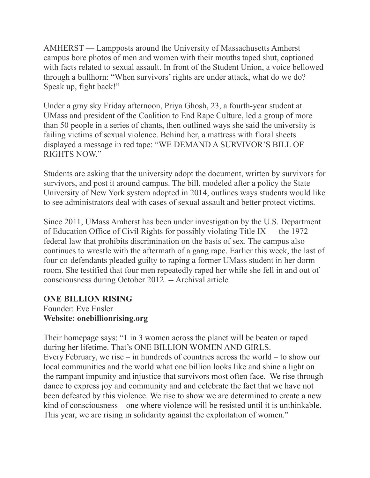AMHERST — Lampposts around the University of Massachusetts Amherst campus bore photos of men and women with their mouths taped shut, captioned with facts related to sexual assault. In front of the Student Union, a voice bellowed through a bullhorn: "When survivors' rights are under attack, what do we do? Speak up, fight back!"

Under a gray sky Friday afternoon, Priya Ghosh, 23, a fourth-year student at UMass and president of the Coalition to End Rape Culture, led a group of more than 50 people in a series of chants, then outlined ways she said the university is failing victims of sexual violence. Behind her, a mattress with floral sheets displayed a message in red tape: "WE DEMAND A SURVIVOR'S BILL OF RIGHTS NOW."

Students are asking that the university adopt the document, written by survivors for survivors, and post it around campus. The bill, modeled after a policy the State University of New York system adopted in 2014, outlines ways students would like to see administrators deal with cases of sexual assault and better protect victims.

Since 2011, UMass Amherst has been under investigation by the U.S. Department of Education Office of Civil Rights for possibly violating Title IX — the 1972 federal law that prohibits discrimination on the basis of sex. The campus also continues to wrestle with the aftermath of a gang rape. Earlier this week, the last of four co-defendants pleaded guilty to raping a former UMass student in her dorm room. She testified that four men repeatedly raped her while she fell in and out of consciousness during October 2012. -- Archival article

#### **ONE BILLION RISING** Founder: Eve Ensler

# **Website: onebillionrising.org**

Their homepage says: "1 in 3 women across the planet will be beaten or raped during her lifetime. That's ONE BILLION WOMEN AND GIRLS. Every February, we rise – in hundreds of countries across the world – to show our local communities and the world what one billion looks like and shine a light on the rampant impunity and injustice that survivors most often face. We rise through dance to express joy and community and and celebrate the fact that we have not been defeated by this violence. We rise to show we are determined to create a new kind of consciousness – one where violence will be resisted until it is unthinkable. This year, we are rising in solidarity against the exploitation of women."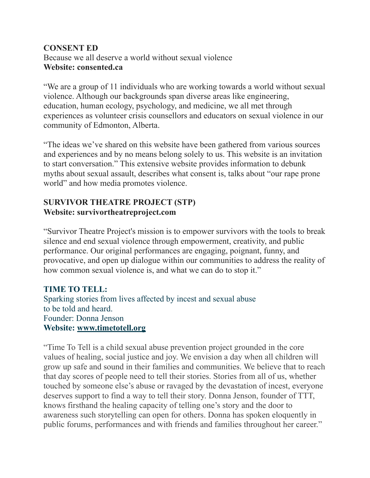### **CONSENT ED**  Because we all deserve a world without sexual violence **Website: consented.ca**

"We are a group of 11 individuals who are working towards a world without sexual violence. Although our backgrounds span diverse areas like engineering, education, human ecology, psychology, and medicine, we all met through experiences as volunteer crisis counsellors and educators on sexual violence in our community of Edmonton, Alberta.

"The ideas we've shared on this website have been gathered from various sources and experiences and by no means belong solely to us. This website is an invitation to start conversation." This extensive website provides information to debunk myths about sexual assault, describes what consent is, talks about "our rape prone world" and how media promotes violence.

### **SURVIVOR THEATRE PROJECT (STP) Website: survivortheatreproject.com**

"Survivor Theatre Project's mission is to empower survivors with the tools to break silence and end sexual violence through empowerment, creativity, and public performance. Our original performances are engaging, poignant, funny, and provocative, and open up dialogue within our communities to address the reality of how common sexual violence is, and what we can do to stop it."

### **TIME TO TELL:**

Sparking stories from lives affected by incest and sexual abuse to be told and heard. Founder: Donna Jenson **Website: [www.timetotell.org](http://www.timetotell.org)**

"Time To Tell is a child sexual abuse prevention project grounded in the core values of healing, social justice and joy. We envision a day when all children will grow up safe and sound in their families and communities. We believe that to reach that day scores of people need to tell their stories. Stories from all of us, whether touched by someone else's abuse or ravaged by the devastation of incest, everyone deserves support to find a way to tell their story. Donna Jenson, founder of TTT, knows firsthand the healing capacity of telling one's story and the door to awareness such storytelling can open for others. Donna has spoken eloquently in public forums, performances and with friends and families throughout her career."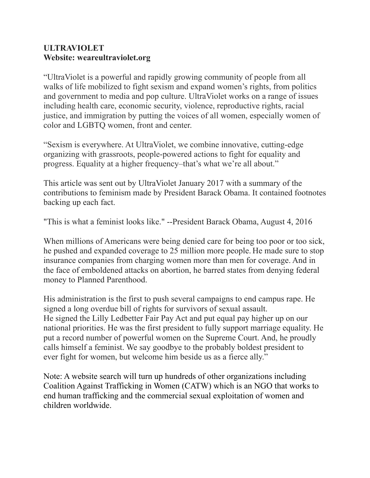### **ULTRAVIOLET Website: weareultraviolet.org**

"UltraViolet is a powerful and rapidly growing community of people from all walks of life mobilized to fight sexism and expand women's rights, from politics and government to media and pop culture. UltraViolet works on a range of issues including health care, economic security, violence, reproductive rights, racial justice, and immigration by putting the voices of all women, especially women of color and LGBTQ women, front and center.

"Sexism is everywhere. At UltraViolet, we combine innovative, cutting-edge organizing with grassroots, people-powered actions to fight for equality and progress. Equality at a higher frequency–that's what we're all about."

This article was sent out by UltraViolet January 2017 with a summary of the contributions to feminism made by President Barack Obama. It contained footnotes backing up each fact.

"This is what a feminist looks like." --President Barack Obama, August 4, 2016

When millions of Americans were being denied care for being too poor or too sick, he pushed and expanded coverage to 25 million more people. He made sure to stop insurance companies from charging women more than men for coverage. And in the face of emboldened attacks on abortion, he barred states from denying federal money to Planned Parenthood.

His administration is the first to push several campaigns to end campus rape. He signed a long overdue bill of rights for survivors of sexual assault. He signed the Lilly Ledbetter Fair Pay Act and put equal pay higher up on our national priorities. He was the first president to fully support marriage equality. He put a record number of powerful women on the Supreme Court. And, he proudly calls himself a feminist. We say goodbye to the probably boldest president to ever fight for women, but welcome him beside us as a fierce ally."

Note: A website search will turn up hundreds of other organizations including [Coalition Against Trafficking in Women \(](http://www.catwinternational.org/)CATW) which is an NGO that works to end human trafficking and the commercial sexual exploitation of women and children worldwide.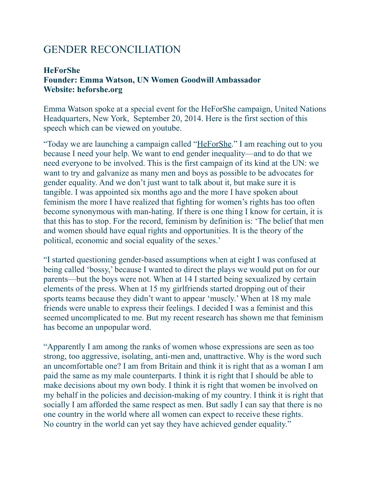### GENDER RECONCILIATION

### **HeForShe Founder: Emma Watson, UN Women Goodwill Ambassador Website: heforshe.org**

Emma Watson spoke at a special event for the HeForShe campaign, United Nations Headquarters, New York, September 20, 2014. Here is the first section of this speech which can be viewed on youtube.

"Today we are launching a campaign called ["HeForShe](http://www.heforshe.org/)." I am reaching out to you because I need your help. We want to end gender inequality—and to do that we need everyone to be involved. This is the first campaign of its kind at the UN: we want to try and galvanize as many men and boys as possible to be advocates for gender equality. And we don't just want to talk about it, but make sure it is tangible. I was appointed six months ago and the more I have spoken about feminism the more I have realized that fighting for women's rights has too often become synonymous with man-hating. If there is one thing I know for certain, it is that this has to stop. For the record, feminism by definition is: 'The belief that men and women should have equal rights and opportunities. It is the theory of the political, economic and social equality of the sexes.'

"I started questioning gender-based assumptions when at eight I was confused at being called 'bossy,' because I wanted to direct the plays we would put on for our parents—but the boys were not. When at 14 I started being sexualized by certain elements of the press. When at 15 my girlfriends started dropping out of their sports teams because they didn't want to appear 'muscly.' When at 18 my male friends were unable to express their feelings. I decided I was a feminist and this seemed uncomplicated to me. But my recent research has shown me that feminism has become an unpopular word.

"Apparently I am among the ranks of women whose expressions are seen as too strong, too aggressive, isolating, anti-men and, unattractive. Why is the word such an uncomfortable one? I am from Britain and think it is right that as a woman I am paid the same as my male counterparts. I think it is right that I should be able to make decisions about my own body. I think it is right that women be involved on my behalf in the policies and decision-making of my country. I think it is right that socially I am afforded the same respect as men. But sadly I can say that there is no one country in the world where all women can expect to receive these rights. No country in the world can yet say they have achieved gender equality."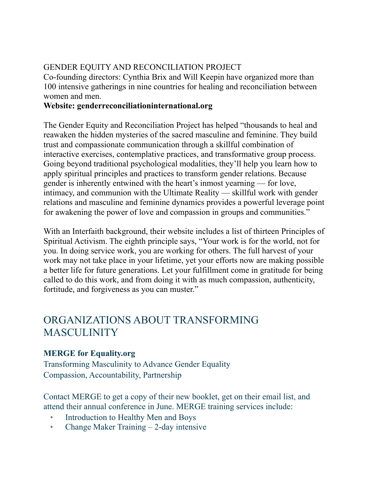### GENDER EQUITY AND RECONCILIATION PROJECT

Co-founding directors: Cynthia Brix and Will Keepin have organized more than 100 intensive gatherings in nine countries for healing and reconciliation between women and men.

### **Website: genderreconciliationinternational.org**

The Gender Equity and Reconciliation Project has helped "thousands to heal and reawaken the hidden mysteries of the sacred masculine and feminine. They build trust and compassionate communication through a skillful combination of interactive exercises, contemplative practices, and transformative group process. Going beyond traditional psychological modalities, they'll help you learn how to apply spiritual principles and practices to transform gender relations. Because gender is inherently entwined with the heart's inmost yearning — for love, intimacy, and communion with the Ultimate Reality — skillful work with gender relations and masculine and feminine dynamics provides a powerful leverage point for awakening the power of love and compassion in groups and communities."

With an Interfaith background, their website includes a list of thirteen Principles of Spiritual Activism. The eighth principle says, "Your work is for the world, not for you. In doing service work, you are working for others. The full harvest of your work may not take place in your lifetime, yet your efforts now are making possible a better life for future generations. Let your fulfillment come in gratitude for being called to do this work, and from doing it with as much compassion, authenticity, fortitude, and forgiveness as you can muster."

### ORGANIZATIONS ABOUT TRANSFORMING MASCULINITY

### **MERGE for Equality.org**

Transforming Masculinity to Advance Gender Equality Compassion, Accountability, Partnership

Contact MERGE to get a copy of their new booklet, get on their email list, and attend their annual conference in June. MERGE training services include:

- Introduction to Healthy Men and Boys
- Change Maker Training 2-day intensive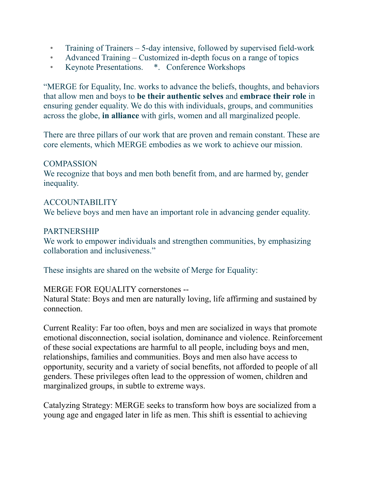- Training of Trainers 5-day intensive, followed by supervised field-work
- Advanced Training Customized in-depth focus on a range of topics
- Keynote Presentations. \*. Conference Workshops

"MERGE for Equality, Inc. works to advance the beliefs, thoughts, and behaviors that allow men and boys to **be their authentic selves** and **embrace their role** in ensuring gender equality. We do this with individuals, groups, and communities across the globe, **in alliance** with girls, women and all marginalized people.

There are three pillars of our work that are proven and remain constant. These are core elements, which MERGE embodies as we work to achieve our mission.

### **COMPASSION**

We recognize that boys and men both benefit from, and are harmed by, gender inequality.

#### ACCOUNTABILITY

We believe boys and men have an important role in advancing gender equality.

### **PARTNERSHIP**

We work to empower individuals and strengthen communities, by emphasizing collaboration and inclusiveness."

These insights are shared on the website of Merge for Equality:

#### MERGE FOR EQUALITY cornerstones --

Natural State: Boys and men are naturally loving, life affirming and sustained by connection.

Current Reality: Far too often, boys and men are socialized in ways that promote emotional disconnection, social isolation, dominance and violence. Reinforcement of these social expectations are harmful to all people, including boys and men, relationships, families and communities. Boys and men also have access to opportunity, security and a variety of social benefits, not afforded to people of all genders. These privileges often lead to the oppression of women, children and marginalized groups, in subtle to extreme ways.

Catalyzing Strategy: MERGE seeks to transform how boys are socialized from a young age and engaged later in life as men. This shift is essential to achieving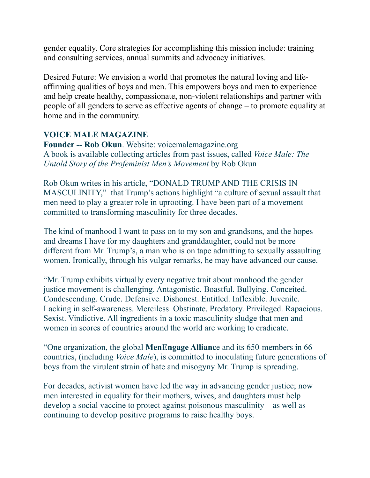gender equality. Core strategies for accomplishing this mission include: training and consulting services, annual summits and advocacy initiatives.

Desired Future: We envision a world that promotes the natural loving and lifeaffirming qualities of boys and men. This empowers boys and men to experience and help create healthy, compassionate, non-violent relationships and partner with people of all genders to serve as effective agents of change – to promote equality at home and in the community.

### **VOICE MALE MAGAZINE**

**Founder -- Rob Okun**. Website: voicemalemagazine.org A book is available collecting articles from past issues, called *Voice Male: The Untold Story of the Profeminist Men's Movement* by Rob Okun

Rob Okun writes in his article, "DONALD TRUMP AND THE CRISIS IN MASCULINITY," that Trump's actions highlight "a culture of sexual assault that men need to play a greater role in uprooting. I have been part of a movement committed to transforming masculinity for three decades.

The kind of manhood I want to pass on to my son and grandsons, and the hopes and dreams I have for my daughters and granddaughter, could not be more different from Mr. Trump's, a man who is on tape admitting to sexually assaulting women. Ironically, through his vulgar remarks, he may have advanced our cause.

"Mr. Trump exhibits virtually every negative trait about manhood the gender justice movement is challenging. Antagonistic. Boastful. Bullying. Conceited. Condescending. Crude. Defensive. Dishonest. Entitled. Inflexible. Juvenile. Lacking in self-awareness. Merciless. Obstinate. Predatory. Privileged. Rapacious. Sexist. Vindictive. All ingredients in a toxic masculinity sludge that men and women in scores of countries around the world are working to eradicate.

"One organization, the global **MenEngage Allianc**e and its 650-members in 66 countries, (including *Voice Male*), is committed to inoculating future generations of boys from the virulent strain of hate and misogyny Mr. Trump is spreading.

For decades, activist women have led the way in advancing gender justice; now men interested in equality for their mothers, wives, and daughters must help develop a social vaccine to protect against poisonous masculinity—as well as continuing to develop positive programs to raise healthy boys.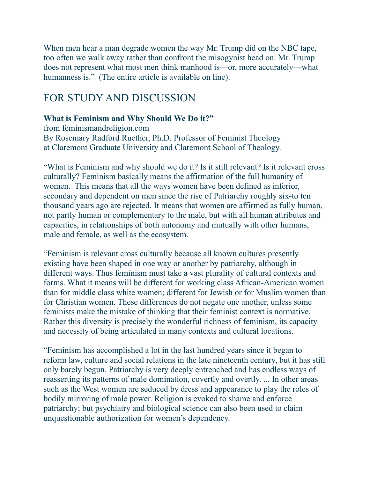When men hear a man degrade women the way Mr. Trump did on the NBC tape, too often we walk away rather than confront the misogynist head on. Mr. Trump does not represent what most men think manhood is—or, more accurately—what humanness is." (The entire article is available on line).

### FOR STUDY AND DISCUSSION

### **What is Feminism and Why Should We Do it?"**

from feminismandreligion.com By [Rosemary Radford Ruether, Ph.D.](http://www.cgu.edu/pages/3563.asp) Professor of Feminist Theology at [Claremont Graduate University](http://www.cgu.edu/) and [Claremont School of Theology.](http://www.cst.edu/about_claremont/)

"What is Feminism and why should we do it? Is it still relevant? Is it relevant cross culturally? Feminism basically means the affirmation of the full humanity of women. This means that all the ways women have been defined as inferior, secondary and dependent on men since the rise of Patriarchy roughly six-to ten thousand years ago are rejected. It means that women are affirmed as fully human, not partly human or complementary to the male, but with all human attributes and capacities, in relationships of both autonomy and mutually with other humans, male and female, as well as the ecosystem.

"Feminism is relevant cross culturally because all known cultures presently existing have been shaped in one way or another by patriarchy, although in different ways. Thus feminism must take a vast plurality of cultural contexts and forms. What it means will be different for working class African-American women than for middle class white women; different for Jewish or for Muslim women than for Christian women. These differences do not negate one another, unless some feminists make the mistake of thinking that their feminist context is normative. Rather this diversity is precisely the wonderful richness of feminism, its capacity and necessity of being articulated in many contexts and cultural locations.

"Feminism has accomplished a lot in the last hundred years since it began to reform law, culture and social relations in the late nineteenth century, but it has still only barely begun. Patriarchy is very deeply entrenched and has endless ways of reasserting its patterns of male domination, covertly and overtly. ... In other areas such as the West women are seduced by dress and appearance to play the roles of bodily mirroring of male power. Religion is evoked to shame and enforce patriarchy; but psychiatry and biological science can also been used to claim unquestionable authorization for women's dependency.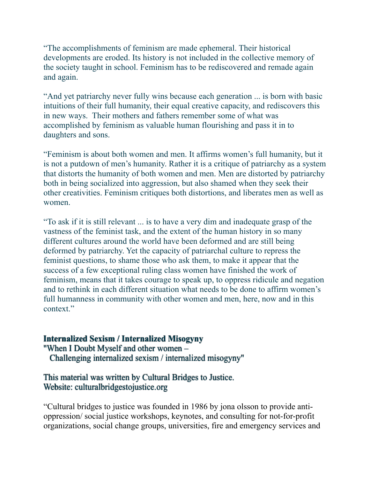"The accomplishments of feminism are made ephemeral. Their historical developments are eroded. Its history is not included in the collective memory of the society taught in school. Feminism has to be rediscovered and remade again and again.

"And yet patriarchy never fully wins because each generation ... is born with basic intuitions of their full humanity, their equal creative capacity, and rediscovers this in new ways. Their mothers and fathers remember some of what was accomplished by feminism as valuable human flourishing and pass it in to daughters and sons.

"Feminism is about both women and men. It affirms women's full humanity, but it is not a putdown of men's humanity. Rather it is a critique of patriarchy as a system that distorts the humanity of both women and men. Men are distorted by patriarchy both in being socialized into aggression, but also shamed when they seek their other creativities. Feminism critiques both distortions, and liberates men as well as women.

"To ask if it is still relevant ... is to have a very dim and inadequate grasp of the vastness of the feminist task, and the extent of the human history in so many different cultures around the world have been deformed and are still being deformed by patriarchy. Yet the capacity of patriarchal culture to repress the feminist questions, to shame those who ask them, to make it appear that the success of a few exceptional ruling class women have finished the work of feminism, means that it takes courage to speak up, to oppress ridicule and negation and to rethink in each different situation what needs to be done to affirm women's full humanness in community with other women and men, here, now and in this context."

#### **Internalized Sexism / Internalized Misogyny**

"When I Doubt Myself and other women – Challenging internalized sexism / internalized misogyny"

### This material was written by Cultural Bridges to Justice. Website: culturalbridgestojustice.org

"Cultural bridges to justice was founded in 1986 by jona olsson to provide antioppression/ social justice workshops, keynotes, and consulting for not-for-profit organizations, social change groups, universities, fire and emergency services and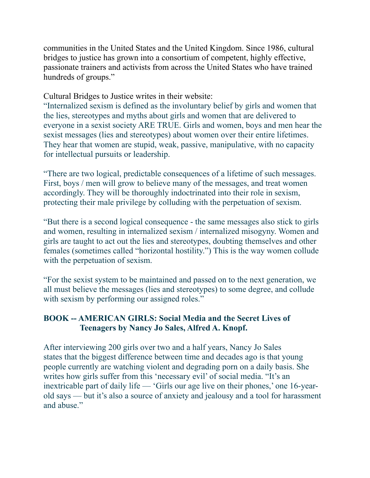communities in the United States and the United Kingdom. Since 1986, cultural bridges to justice has grown into a consortium of competent, highly effective, passionate trainers and activists from across the United States who have trained hundreds of groups."

Cultural Bridges to Justice writes in their website:

"Internalized sexism is defined as the involuntary belief by girls and women that the lies, stereotypes and myths about girls and women that are delivered to everyone in a sexist society ARE TRUE. Girls and women, boys and men hear the sexist messages (lies and stereotypes) about women over their entire lifetimes. They hear that women are stupid, weak, passive, manipulative, with no capacity for intellectual pursuits or leadership.

"There are two logical, predictable consequences of a lifetime of such messages. First, boys / men will grow to believe many of the messages, and treat women accordingly. They will be thoroughly indoctrinated into their role in sexism, protecting their male privilege by colluding with the perpetuation of sexism.

"But there is a second logical consequence - the same messages also stick to girls and women, resulting in internalized sexism / internalized misogyny. Women and girls are taught to act out the lies and stereotypes, doubting themselves and other females (sometimes called "horizontal hostility.") This is the way women collude with the perpetuation of sexism.

"For the sexist system to be maintained and passed on to the next generation, we all must believe the messages (lies and stereotypes) to some degree, and collude with sexism by performing our assigned roles."

### **BOOK -- AMERICAN GIRLS: Social Media and the Secret Lives of Teenagers by Nancy Jo Sales, Alfred A. Knopf.**

After interviewing 200 girls over two and a half years, Nancy Jo Sales states that the biggest difference between time and decades ago is that young people currently are watching violent and degrading porn on a daily basis. She writes how girls suffer from this 'necessary evil' of social media. "It's an inextricable part of daily life — 'Girls our age live on their phones,' one 16-yearold says — but it's also a source of anxiety and jealousy and a tool for harassment and abuse."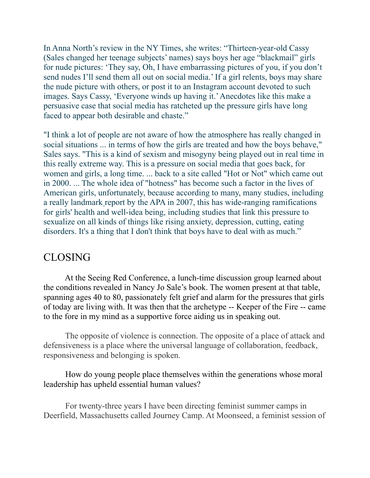In Anna North's review in the NY Times, she writes: "Thirteen-year-old Cassy (Sales changed her teenage subjects' names) says boys her age "blackmail" girls for nude pictures: 'They say, Oh, I have embarrassing pictures of you, if you don't send nudes I'll send them all out on social media.' If a girl relents, boys may share the nude picture with others, or post it to an Instagram account devoted to such images. Says Cassy, 'Everyone winds up having it.' Anecdotes like this make a persuasive case that social media has ratcheted up the pressure girls have long faced to appear both desirable and chaste."

"I think a lot of people are not aware of how the atmosphere has really changed in social situations ... in terms of how the girls are treated and how the boys behave," Sales says. "This is a kind of sexism and misogyny being played out in real time in this really extreme way. This is a pressure on social media that goes back, for women and girls, a long time. ... back to a site called "Hot or Not" which came out in 2000. ... The whole idea of "hotness" has become such a factor in the lives of American girls, unfortunately, because according to many, many studies, including a really landmark [report](http://www.apa.org/pi/women/programs/girls/report-full.pdf) by the APA in 2007, this has wide-ranging ramifications for girls' health and well-idea being, including studies that link this pressure to sexualize on all kinds of things like rising anxiety, depression, cutting, eating disorders. It's a thing that I don't think that boys have to deal with as much."

### CLOSING

 At the Seeing Red Conference, a lunch-time discussion group learned about the conditions revealed in Nancy Jo Sale's book. The women present at that table, spanning ages 40 to 80, passionately felt grief and alarm for the pressures that girls of today are living with. It was then that the archetype -- Keeper of the Fire -- came to the fore in my mind as a supportive force aiding us in speaking out.

 The opposite of violence is connection. The opposite of a place of attack and defensiveness is a place where the universal language of collaboration, feedback, responsiveness and belonging is spoken.

### How do young people place themselves within the generations whose moral leadership has upheld essential human values?

 For twenty-three years I have been directing feminist summer camps in Deerfield, Massachusetts called Journey Camp. At Moonseed, a feminist session of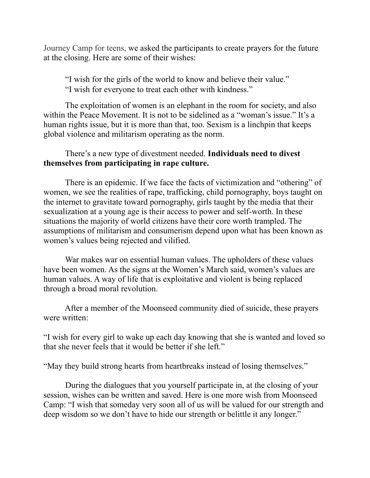Journey Camp for teens, we asked the participants to create prayers for the future at the closing. Here are some of their wishes:

"I wish for the girls of the world to know and believe their value." "I wish for everyone to treat each other with kindness."

 The exploitation of women is an elephant in the room for society, and also within the Peace Movement. It is not to be sidelined as a "woman's issue." It's a human rights issue, but it is more than that, too. Sexism is a linchpin that keeps global violence and militarism operating as the norm.

### There's a new type of divestment needed. **Individuals need to divest themselves from participating in rape culture.**

 There is an epidemic. If we face the facts of victimization and "othering" of women, we see the realities of rape, trafficking, child pornography, boys taught on the internet to gravitate toward pornography, girls taught by the media that their sexualization at a young age is their access to power and self-worth. In these situations the majority of world citizens have their core worth trampled. The assumptions of militarism and consumerism depend upon what has been known as women's values being rejected and vilified.

 War makes war on essential human values. The upholders of these values have been women. As the signs at the Women's March said, women's values are human values. A way of life that is exploitative and violent is being replaced through a broad moral revolution.

 After a member of the Moonseed community died of suicide, these prayers were written:

"I wish for every girl to wake up each day knowing that she is wanted and loved so that she never feels that it would be better if she left."

"May they build strong hearts from heartbreaks instead of losing themselves."

 During the dialogues that you yourself participate in, at the closing of your session, wishes can be written and saved. Here is one more wish from Moonseed Camp: "I wish that someday very soon all of us will be valued for our strength and deep wisdom so we don't have to hide our strength or belittle it any longer."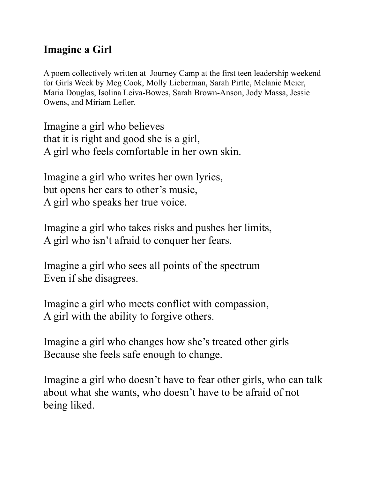### **Imagine a Girl**

A poem collectively written at Journey Camp at the first teen leadership weekend for Girls Week by Meg Cook, Molly Lieberman, Sarah Pirtle, Melanie Meier, Maria Douglas, Isolina Leiva-Bowes, Sarah Brown-Anson, Jody Massa, Jessie Owens, and Miriam Lefler.

Imagine a girl who believes that it is right and good she is a girl, A girl who feels comfortable in her own skin.

Imagine a girl who writes her own lyrics, but opens her ears to other's music, A girl who speaks her true voice.

Imagine a girl who takes risks and pushes her limits, A girl who isn't afraid to conquer her fears.

Imagine a girl who sees all points of the spectrum Even if she disagrees.

Imagine a girl who meets conflict with compassion, A girl with the ability to forgive others.

Imagine a girl who changes how she's treated other girls Because she feels safe enough to change.

Imagine a girl who doesn't have to fear other girls, who can talk about what she wants, who doesn't have to be afraid of not being liked.